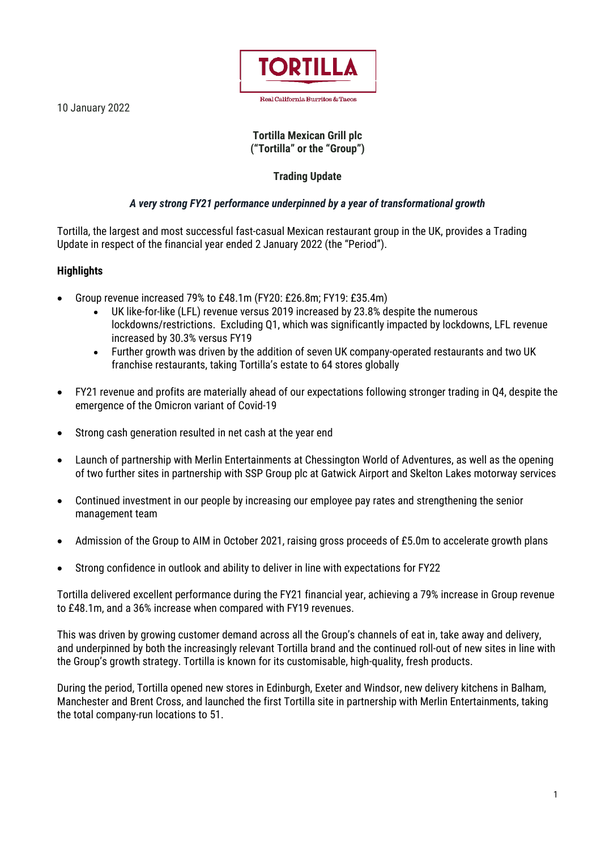10 January 2022



### **Tortilla Mexican Grill plc ("Tortilla" or the "Group")**

# **Trading Update**

## *A very strong FY21 performance underpinned by a year of transformational growth*

Tortilla, the largest and most successful fast-casual Mexican restaurant group in the UK, provides a Trading Update in respect of the financial year ended 2 January 2022 (the "Period").

## **Highlights**

- Group revenue increased 79% to £48.1m (FY20: £26.8m; FY19: £35.4m)
	- UK like-for-like (LFL) revenue versus 2019 increased by 23.8% despite the numerous lockdowns/restrictions. Excluding Q1, which was significantly impacted by lockdowns, LFL revenue increased by 30.3% versus FY19
	- Further growth was driven by the addition of seven UK company-operated restaurants and two UK franchise restaurants, taking Tortilla's estate to 64 stores globally
- FY21 revenue and profits are materially ahead of our expectations following stronger trading in Q4, despite the emergence of the Omicron variant of Covid-19
- Strong cash generation resulted in net cash at the year end
- Launch of partnership with Merlin Entertainments at Chessington World of Adventures, as well as the opening of two further sites in partnership with SSP Group plc at Gatwick Airport and Skelton Lakes motorway services
- Continued investment in our people by increasing our employee pay rates and strengthening the senior management team
- Admission of the Group to AIM in October 2021, raising gross proceeds of £5.0m to accelerate growth plans
- Strong confidence in outlook and ability to deliver in line with expectations for FY22

Tortilla delivered excellent performance during the FY21 financial year, achieving a 79% increase in Group revenue to £48.1m, and a 36% increase when compared with FY19 revenues.

This was driven by growing customer demand across all the Group's channels of eat in, take away and delivery, and underpinned by both the increasingly relevant Tortilla brand and the continued roll-out of new sites in line with the Group's growth strategy. Tortilla is known for its customisable, high-quality, fresh products.

During the period, Tortilla opened new stores in Edinburgh, Exeter and Windsor, new delivery kitchens in Balham, Manchester and Brent Cross, and launched the first Tortilla site in partnership with Merlin Entertainments, taking the total company-run locations to 51.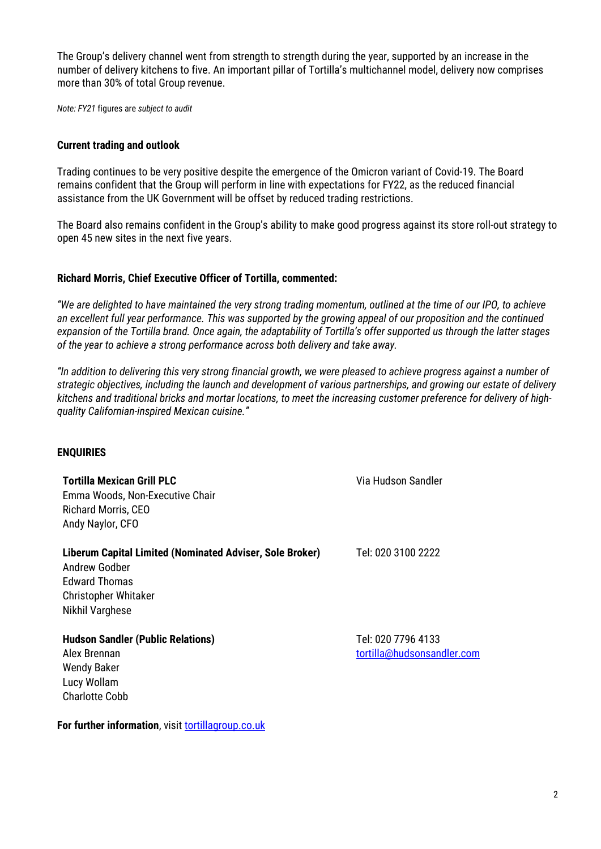The Group's delivery channel went from strength to strength during the year, supported by an increase in the number of delivery kitchens to five. An important pillar of Tortilla's multichannel model, delivery now comprises more than 30% of total Group revenue.

*Note: FY21* figures are *subject to audit*

#### **Current trading and outlook**

Trading continues to be very positive despite the emergence of the Omicron variant of Covid-19. The Board remains confident that the Group will perform in line with expectations for FY22, as the reduced financial assistance from the UK Government will be offset by reduced trading restrictions.

The Board also remains confident in the Group's ability to make good progress against its store roll-out strategy to open 45 new sites in the next five years.

#### **Richard Morris, Chief Executive Officer of Tortilla, commented:**

*"We are delighted to have maintained the very strong trading momentum, outlined at the time of our IPO, to achieve an excellent full year performance. This was supported by the growing appeal of our proposition and the continued expansion of the Tortilla brand. Once again, the adaptability of Tortilla's offer supported us through the latter stages of the year to achieve a strong performance across both delivery and take away.*

*"In addition to delivering this very strong financial growth, we were pleased to achieve progress against a number of strategic objectives, including the launch and development of various partnerships, and growing our estate of delivery kitchens and traditional bricks and mortar locations, to meet the increasing customer preference for delivery of highquality Californian-inspired Mexican cuisine."*

#### **ENQUIRIES**

**Tortilla Mexican Grill PLC** Via Hudson Sandler Emma Woods, Non-Executive Chair Richard Morris, CEO Andy Naylor, CFO **Liberum Capital Limited (Nominated Adviser, Sole Broker)** Tel: 020 3100 2222 Andrew Godber Edward Thomas Christopher Whitaker Nikhil Varghese **Hudson Sandler (Public Relations)** Tel: 020 7796 4133 Alex Brennan [tortilla@hudsonsandler.com](mailto:tortilla@hudsonsandler.com)

Wendy Baker Lucy Wollam Charlotte Cobb

**For further information**, visit [tortillagroup.co.uk](https://tortillagroup.co.uk/)